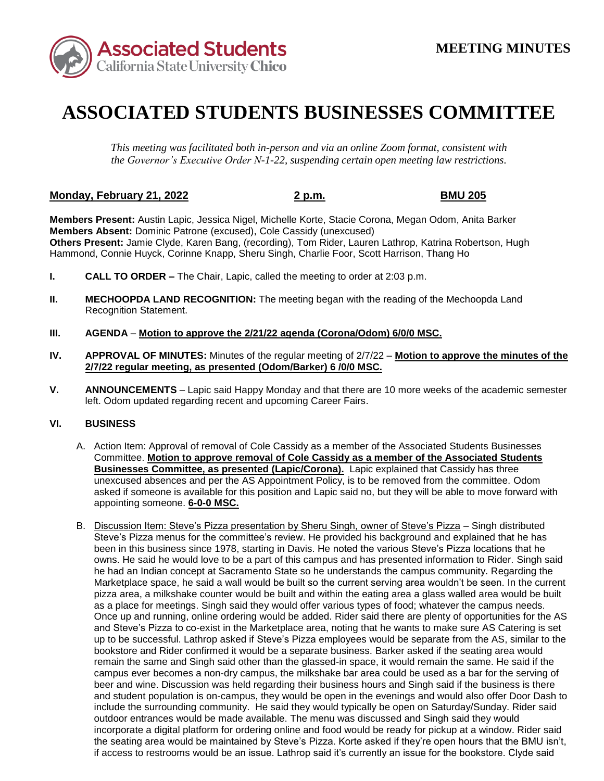

## **ASSOCIATED STUDENTS BUSINESSES COMMITTEE**

*This meeting was facilitated both in-person and via an online Zoom format, consistent with the Governor's Executive Order N-1-22, suspending certain open meeting law restrictions.* 

## **Monday, February 21, 2022 2 p.m. BMU 205**

**Members Present:** Austin Lapic, Jessica Nigel, Michelle Korte, Stacie Corona, Megan Odom, Anita Barker **Members Absent:** Dominic Patrone (excused), Cole Cassidy (unexcused) **Others Present:** Jamie Clyde, Karen Bang, (recording), Tom Rider, Lauren Lathrop, Katrina Robertson, Hugh Hammond, Connie Huyck, Corinne Knapp, Sheru Singh, Charlie Foor, Scott Harrison, Thang Ho

- **I. CALL TO ORDER –** The Chair, Lapic, called the meeting to order at 2:03 p.m.
- **II. MECHOOPDA LAND RECOGNITION:** The meeting began with the reading of the Mechoopda Land Recognition Statement.
- **III. AGENDA Motion to approve the 2/21/22 agenda (Corona/Odom) 6/0/0 MSC.**
- **IV. APPROVAL OF MINUTES:** Minutes of the regular meeting of 2/7/22 **Motion to approve the minutes of the 2/7/22 regular meeting, as presented (Odom/Barker) 6 /0/0 MSC.**
- **V. ANNOUNCEMENTS**  Lapic said Happy Monday and that there are 10 more weeks of the academic semester left. Odom updated regarding recent and upcoming Career Fairs.

## **VI. BUSINESS**

- A. Action Item: Approval of removal of Cole Cassidy as a member of the Associated Students Businesses **Businesses Committee, as presented (Lapic/Corona).** Lapic explained that Cassidy has three unexcused absences and per the AS Appointment Policy, is to be removed from the committee. Odom Committee. **Motion to approve removal of Cole Cassidy as a member of the Associated Students**  asked if someone is available for this position and Lapic said no, but they will be able to move forward with appointing someone. **6-0-0 MSC.**
- Steve's Pizza menus for the committee's review. He provided his background and explained that he has pizza area, a milkshake counter would be built and within the eating area a glass walled area would be built and student population is on-campus, they would be open in the evenings and would also offer Door Dash to include the surrounding community. He said they would typically be open on Saturday/Sunday. Rider said the seating area would be maintained by Steve's Pizza. Korte asked if they're open hours that the BMU isn't, B. Discussion Item: Steve's Pizza presentation by Sheru Singh, owner of Steve's Pizza – Singh distributed been in this business since 1978, starting in Davis. He noted the various Steve's Pizza locations that he owns. He said he would love to be a part of this campus and has presented information to Rider. Singh said he had an Indian concept at Sacramento State so he understands the campus community. Regarding the Marketplace space, he said a wall would be built so the current serving area wouldn't be seen. In the current as a place for meetings. Singh said they would offer various types of food; whatever the campus needs. Once up and running, online ordering would be added. Rider said there are plenty of opportunities for the AS and Steve's Pizza to co-exist in the Marketplace area, noting that he wants to make sure AS Catering is set up to be successful. Lathrop asked if Steve's Pizza employees would be separate from the AS, similar to the bookstore and Rider confirmed it would be a separate business. Barker asked if the seating area would remain the same and Singh said other than the glassed-in space, it would remain the same. He said if the campus ever becomes a non-dry campus, the milkshake bar area could be used as a bar for the serving of beer and wine. Discussion was held regarding their business hours and Singh said if the business is there outdoor entrances would be made available. The menu was discussed and Singh said they would incorporate a digital platform for ordering online and food would be ready for pickup at a window. Rider said if access to restrooms would be an issue. Lathrop said it's currently an issue for the bookstore. Clyde said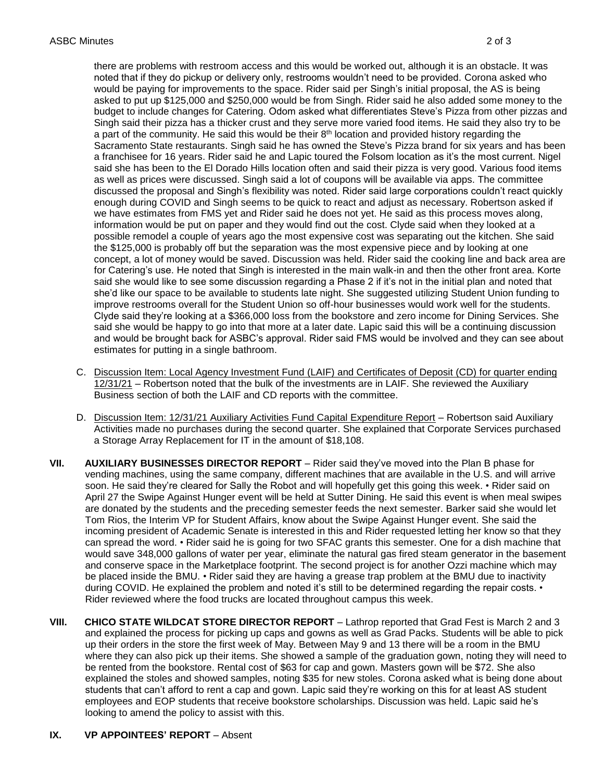noted that if they do pickup or delivery only, restrooms wouldn't need to be provided. Corona asked who asked to put up \$125,000 and \$250,000 would be from Singh. Rider said he also added some money to the Sacramento State restaurants. Singh said he has owned the Steve's Pizza brand for six years and has been as well as prices were discussed. Singh said a lot of coupons will be available via apps. The committee information would be put on paper and they would find out the cost. Clyde said when they looked at a said she would be happy to go into that more at a later date. Lapic said this will be a continuing discussion and would be brought back for ASBC's approval. Rider said FMS would be involved and they can see about there are problems with restroom access and this would be worked out, although it is an obstacle. It was would be paying for improvements to the space. Rider said per Singh's initial proposal, the AS is being budget to include changes for Catering. Odom asked what differentiates Steve's Pizza from other pizzas and Singh said their pizza has a thicker crust and they serve more varied food items. He said they also try to be a part of the community. He said this would be their 8<sup>th</sup> location and provided history regarding the a franchisee for 16 years. Rider said he and Lapic toured the Folsom location as it's the most current. Nigel said she has been to the El Dorado Hills location often and said their pizza is very good. Various food items discussed the proposal and Singh's flexibility was noted. Rider said large corporations couldn't react quickly enough during COVID and Singh seems to be quick to react and adjust as necessary. Robertson asked if we have estimates from FMS yet and Rider said he does not yet. He said as this process moves along, possible remodel a couple of years ago the most expensive cost was separating out the kitchen. She said the \$125,000 is probably off but the separation was the most expensive piece and by looking at one concept, a lot of money would be saved. Discussion was held. Rider said the cooking line and back area are for Catering's use. He noted that Singh is interested in the main walk-in and then the other front area. Korte said she would like to see some discussion regarding a Phase 2 if it's not in the initial plan and noted that she'd like our space to be available to students late night. She suggested utilizing Student Union funding to improve restrooms overall for the Student Union so off-hour businesses would work well for the students. Clyde said they're looking at a \$366,000 loss from the bookstore and zero income for Dining Services. She estimates for putting in a single bathroom.

- 12/31/21 Robertson noted that the bulk of the investments are in LAIF. She reviewed the Auxiliary C. Discussion Item: Local Agency Investment Fund (LAIF) and Certificates of Deposit (CD) for quarter ending Business section of both the LAIF and CD reports with the committee.
- D. Discussion Item: 12/31/21 Auxiliary Activities Fund Capital Expenditure Report Robertson said Auxiliary Activities made no purchases during the second quarter. She explained that Corporate Services purchased a Storage Array Replacement for IT in the amount of \$18,108.
- soon. He said they're cleared for Sally the Robot and will hopefully get this going this week. Rider said on April 27 the Swipe Against Hunger event will be held at Sutter Dining. He said this event is when meal swipes are donated by the students and the preceding semester feeds the next semester. Barker said she would let Tom Rios, the Interim VP for Student Affairs, know about the Swipe Against Hunger event. She said the can spread the word. • Rider said he is going for two SFAC grants this semester. One for a dish machine that **VII. AUXILIARY BUSINESSES DIRECTOR REPORT** – Rider said they've moved into the Plan B phase for vending machines, using the same company, different machines that are available in the U.S. and will arrive incoming president of Academic Senate is interested in this and Rider requested letting her know so that they would save 348,000 gallons of water per year, eliminate the natural gas fired steam generator in the basement and conserve space in the Marketplace footprint. The second project is for another Ozzi machine which may be placed inside the BMU. • Rider said they are having a grease trap problem at the BMU due to inactivity during COVID. He explained the problem and noted it's still to be determined regarding the repair costs. • Rider reviewed where the food trucks are located throughout campus this week.
- and explained the process for picking up caps and gowns as well as Grad Packs. Students will be able to pick where they can also pick up their items. She showed a sample of the graduation gown, noting they will need to be rented from the bookstore. Rental cost of \$63 for cap and gown. Masters gown will be \$72. She also **VIII.** CHICO STATE WILDCAT STORE DIRECTOR REPORT – Lathrop reported that Grad Fest is March 2 and 3 up their orders in the store the first week of May. Between May 9 and 13 there will be a room in the BMU explained the stoles and showed samples, noting \$35 for new stoles. Corona asked what is being done about students that can't afford to rent a cap and gown. Lapic said they're working on this for at least AS student employees and EOP students that receive bookstore scholarships. Discussion was held. Lapic said he's looking to amend the policy to assist with this.

## **IX. VP APPOINTEES' REPORT** – Absent